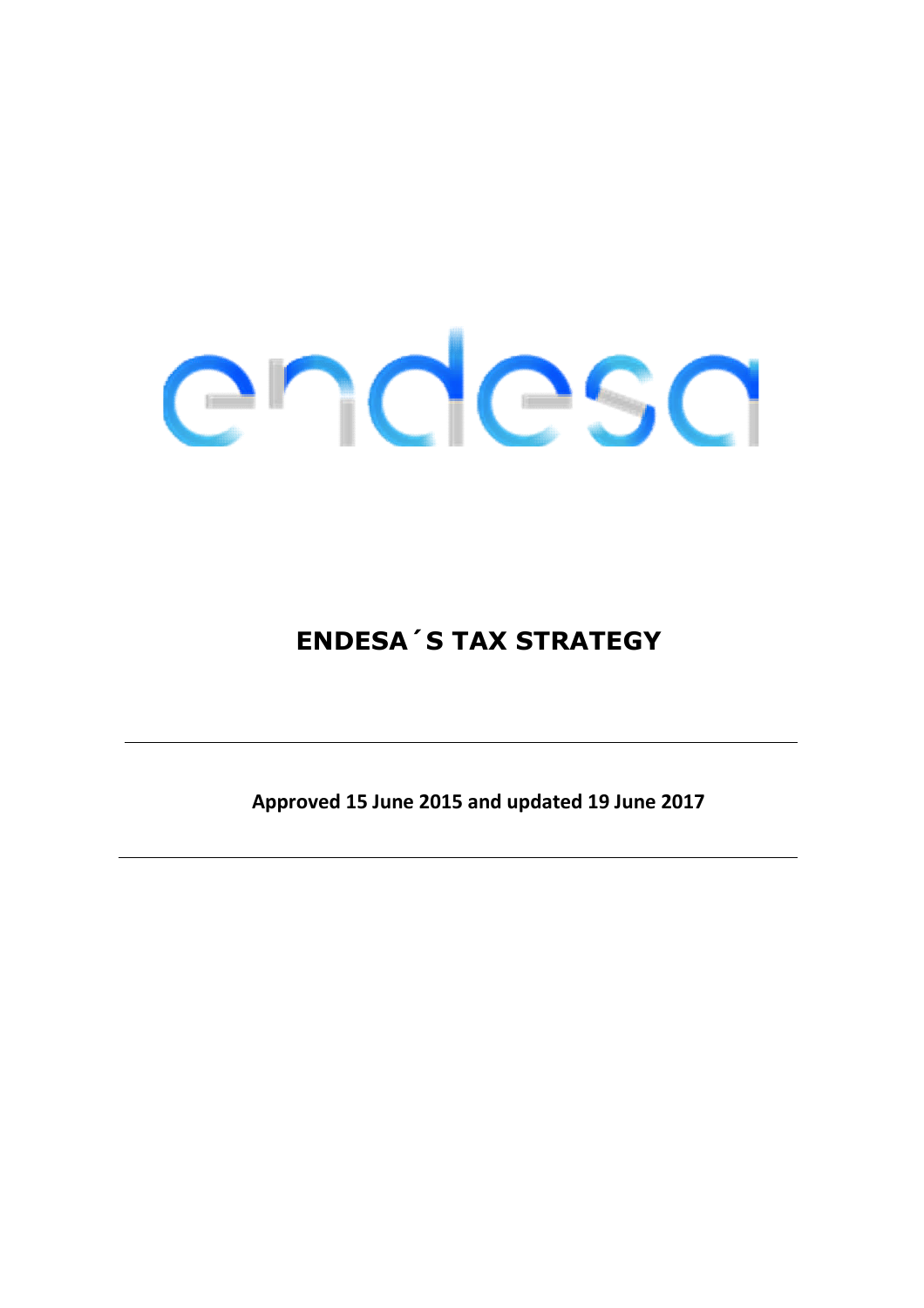### **ENDESA´S TAX STRATEGY**

**Approved 15 June 2015 and updated 19 June 2017**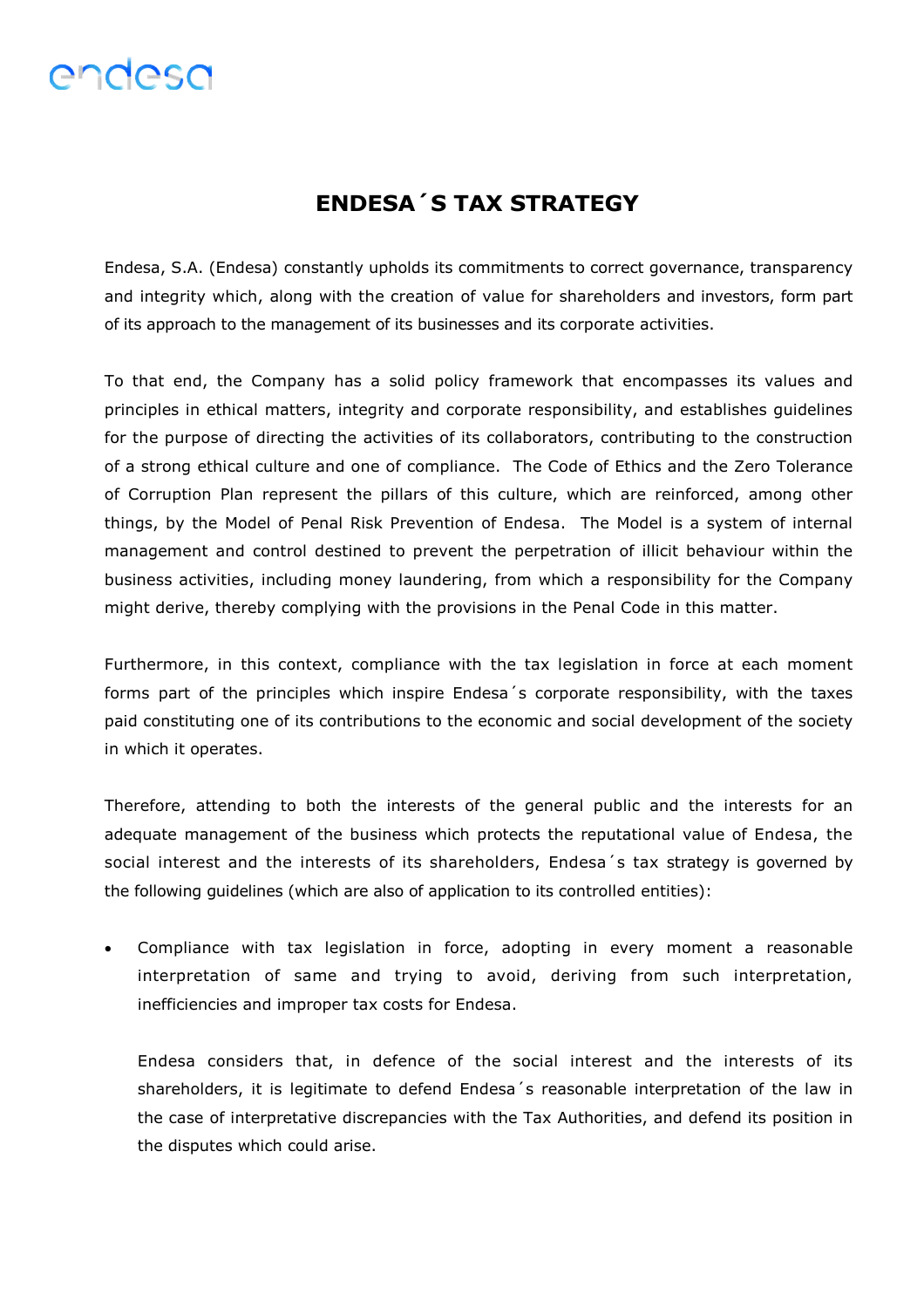#### **ENDESA´S TAX STRATEGY**

Endesa, S.A. (Endesa) constantly upholds its commitments to correct governance, transparency and integrity which, along with the creation of value for shareholders and investors, form part of its approach to the management of its businesses and its corporate activities.

To that end, the Company has a solid policy framework that encompasses its values and principles in ethical matters, integrity and corporate responsibility, and establishes guidelines for the purpose of directing the activities of its collaborators, contributing to the construction of a strong ethical culture and one of compliance. The Code of Ethics and the Zero Tolerance of Corruption Plan represent the pillars of this culture, which are reinforced, among other things, by the Model of Penal Risk Prevention of Endesa. The Model is a system of internal management and control destined to prevent the perpetration of illicit behaviour within the business activities, including money laundering, from which a responsibility for the Company might derive, thereby complying with the provisions in the Penal Code in this matter.

Furthermore, in this context, compliance with the tax legislation in force at each moment forms part of the principles which inspire Endesa´s corporate responsibility, with the taxes paid constituting one of its contributions to the economic and social development of the society in which it operates.

Therefore, attending to both the interests of the general public and the interests for an adequate management of the business which protects the reputational value of Endesa, the social interest and the interests of its shareholders, Endesa´s tax strategy is governed by the following guidelines (which are also of application to its controlled entities):

 Compliance with tax legislation in force, adopting in every moment a reasonable interpretation of same and trying to avoid, deriving from such interpretation, inefficiencies and improper tax costs for Endesa.

Endesa considers that, in defence of the social interest and the interests of its shareholders, it is legitimate to defend Endesa´s reasonable interpretation of the law in the case of interpretative discrepancies with the Tax Authorities, and defend its position in the disputes which could arise.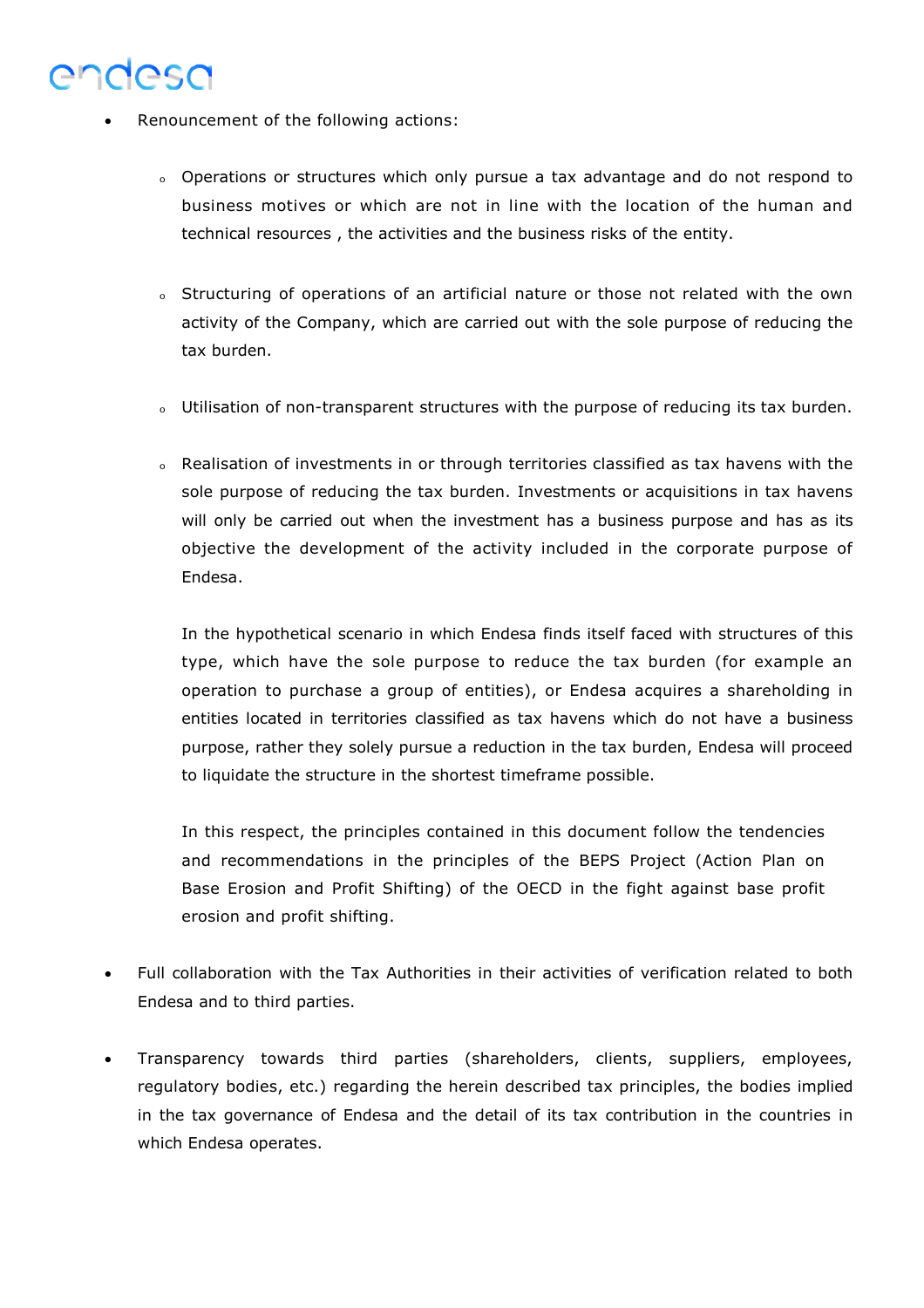- Renouncement of the following actions:
	- o Operations or structures which only pursue a tax advantage and do not respond to business motives or which are not in line with the location of the human and technical resources , the activities and the business risks of the entity.
	- <sup>o</sup> Structuring of operations of an artificial nature or those not related with the own activity of the Company, which are carried out with the sole purpose of reducing the tax burden.
	- o Utilisation of non-transparent structures with the purpose of reducing its tax burden.
	- o Realisation of investments in or through territories classified as tax havens with the sole purpose of reducing the tax burden. Investments or acquisitions in tax havens will only be carried out when the investment has a business purpose and has as its objective the development of the activity included in the corporate purpose of Endesa.

In the hypothetical scenario in which Endesa finds itself faced with structures of this type, which have the sole purpose to reduce the tax burden (for example an operation to purchase a group of entities), or Endesa acquires a shareholding in entities located in territories classified as tax havens which do not have a business purpose, rather they solely pursue a reduction in the tax burden, Endesa will proceed to liquidate the structure in the shortest timeframe possible.

In this respect, the principles contained in this document follow the tendencies and recommendations in the principles of the BEPS Project (Action Plan on Base Erosion and Profit Shifting) of the OECD in the fight against base profit erosion and profit shifting.

- Full collaboration with the Tax Authorities in their activities of verification related to both Endesa and to third parties.
- Transparency towards third parties (shareholders, clients, suppliers, employees, regulatory bodies, etc.) regarding the herein described tax principles, the bodies implied in the tax governance of Endesa and the detail of its tax contribution in the countries in which Endesa operates.